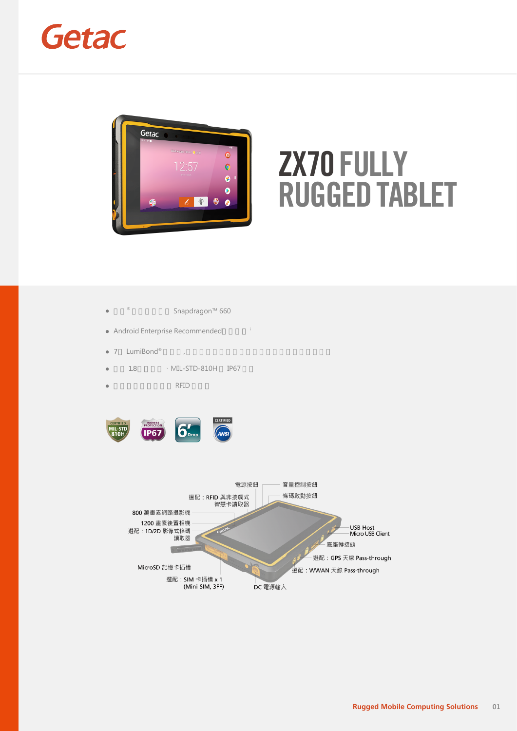## Getac



# **ZX70 FULLY RUGGED TABLET**

- 高通® Snapdragon™ 660  $\bullet$
- Android Enterprise Recommended i
- $\bullet$  7 LumiBond® 顯示器, 搭載日光下可讀技術以及手套可用電容式觸控螢幕
- 通過 1.8 公尺落摔、MIL-STD-810H 與 IP67 認證  $\bullet$
- RFID  $\bullet$



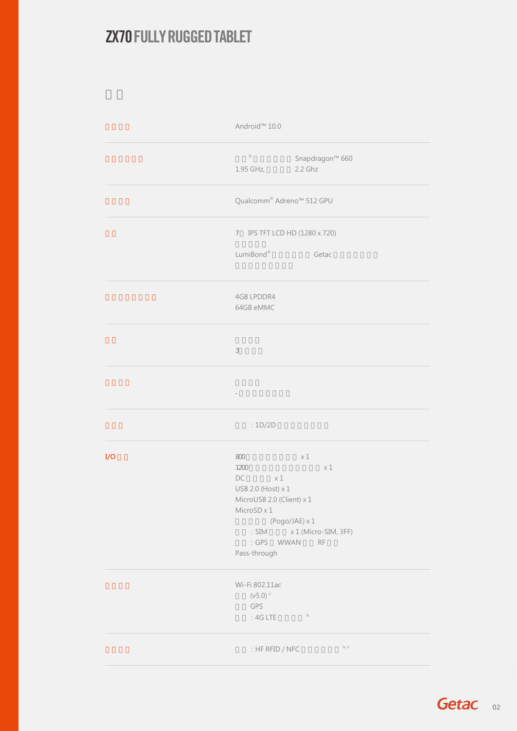#### **ZX70FULLY RUGGED TABLET**

|             | Android <sup>™</sup> 10.0                                                                                                                       |  |  |  |  |  |
|-------------|-------------------------------------------------------------------------------------------------------------------------------------------------|--|--|--|--|--|
|             | $^{\circledR}$<br>Snapdragon™ 660<br>2.2 Ghz<br>1.95 GHz,                                                                                       |  |  |  |  |  |
|             | Qualcomm® Adreno <sup>™</sup> 512 GPU<br>7 IPS TFT LCD HD (1280 x 720)                                                                          |  |  |  |  |  |
|             |                                                                                                                                                 |  |  |  |  |  |
|             | LumiBond®<br>Getac                                                                                                                              |  |  |  |  |  |
|             | 4GB LPDDR4<br>64GB eMMC                                                                                                                         |  |  |  |  |  |
|             | $\ensuremath{\mathsf{3}}$                                                                                                                       |  |  |  |  |  |
|             | $\hspace{1.5cm} -$                                                                                                                              |  |  |  |  |  |
|             | :1D/2D                                                                                                                                          |  |  |  |  |  |
| ${\rm I/O}$ | $800\,$<br>x1<br>$\times$ 1<br>1200<br>$DC \times 1$<br>USB 2.0 (Host) x 1<br>MicroUSB 2.0 (Client) x 1<br>MicroSD x 1<br>$(Pogo/JAE) \times 1$ |  |  |  |  |  |
|             | : SIM x 1 (Micro-SIM, 3FF)<br>: GPS WWAN RF<br>Pass-through                                                                                     |  |  |  |  |  |
|             | Wi-Fi 802.11ac<br>$(V5.0)$ <sup>ii</sup><br>GPS<br>$-iii$<br>$:4G$ LTE                                                                          |  |  |  |  |  |
|             | iv, v<br>: HF RFID / NFC                                                                                                                        |  |  |  |  |  |

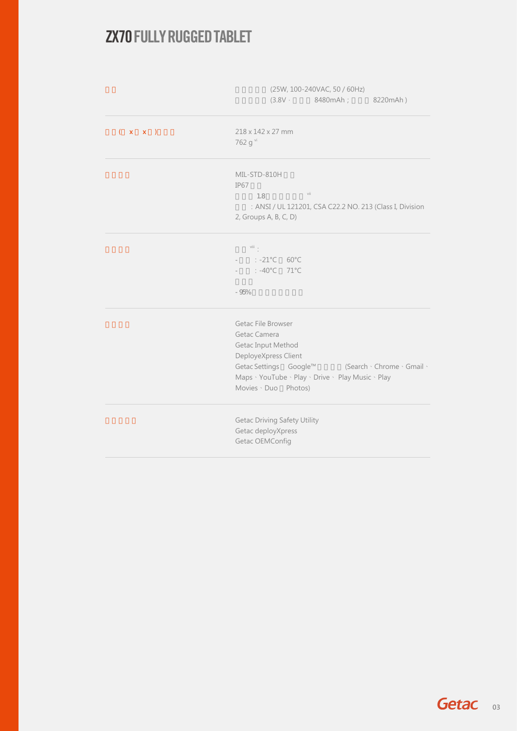#### **ZX70FULLY RUGGED TABLET**

|                | (25W, 100-240VAC, 50 / 60Hz)<br>$(3.8V - 8480mAh)$<br>8220mAh)                                                                                                                                                      |
|----------------|---------------------------------------------------------------------------------------------------------------------------------------------------------------------------------------------------------------------|
| $(x \times x)$ | 218 x 142 x 27 mm<br>762 g vi                                                                                                                                                                                       |
|                | MIL-STD-810H<br>IP67<br>vii<br>1.8<br>: ANSI / UL 121201, CSA C22.2 NO. 213 (Class I, Division<br>2, Groups A, B, C, D)                                                                                             |
|                | $\overrightarrow{\text{viii}}$<br>$: -21^{\circ}$ C 60°C<br>$\sim$<br>$: -40^{\circ}C$ 71°C<br>$\sim$<br>$-95%$                                                                                                     |
|                | Getac File Browser<br>Getac Camera<br>Getac Input Method<br>DeployeXpress Client<br>Getac Settings Google™<br>(Search · Chrome · Gmail ·<br>Maps · YouTube · Play · Drive · Play Music · Play<br>Movies Duo Photos) |
|                | <b>Getac Driving Safety Utility</b><br>Getac deployXpress<br>Getac OEMConfig                                                                                                                                        |

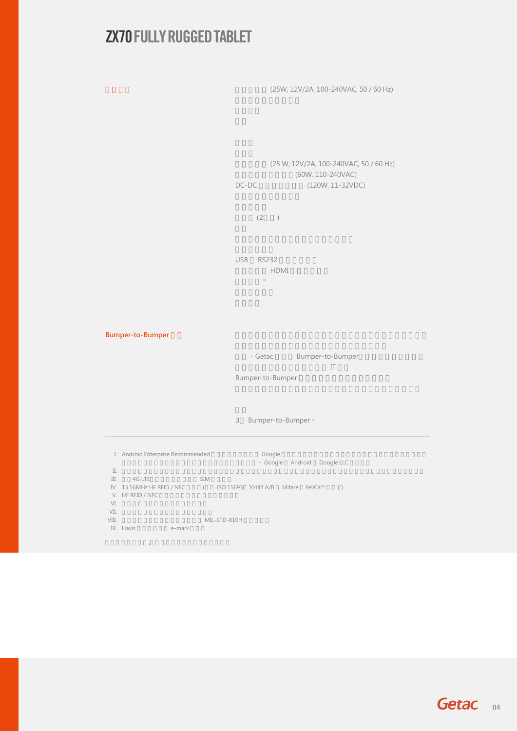#### **ZX70 FULLY RUGGED TABLET**

(25W, 12V/2A, 100-240VAC, 50 / 60 Hz)

(25 W, 12V/2A, 100-240VAC, 50 / 60 Hz) (60W, 110-240VAC) DC-DC (120W, 11-32VDC)

 $(2)$ 

USB RS232 底座接頭至 HDMI 轉接器連接線 ix

**Bumper-to-Bumper** 

· Getac Bumper-to-Bumper  $\overline{\mathbf{I}}$ Bumper-to-Bumper

3 Bumper-to-Bumper。

I. Android Enterprise Recommended 強固型裝置提供經過 Google 驗證的一致性功能集,並具有更高的裝置基準、更高的安全性 標準以及以企業為中心的功能和行為,滿足使用者的需求。 Google 和 Android 是 Google LLC 的商標。 II.  $\,$ III. 4G LTE SIM 51M IV. 13.56MHz HF RFID / NFC  $\qquad \qquad$  (  $\qquad$  ISO 15693  $\qquad$  14443 A/B  $\qquad$  Mifare  $\qquad$  FeliCa™  $\qquad$  ) V. HF RFID / NFC and the state of the state of the state of the state of the state of the state of the state of the state of the state of the state of the state of the state of the state of the state of the state of the st  $VI.$  $VII.$ VIII. 通過獨立第三方測試實驗室執行之 MIL-STD-810H 認證測試。 IX. Havis e-mark 此處資訊僅供參考,適用規格應以索取之報價單為準。